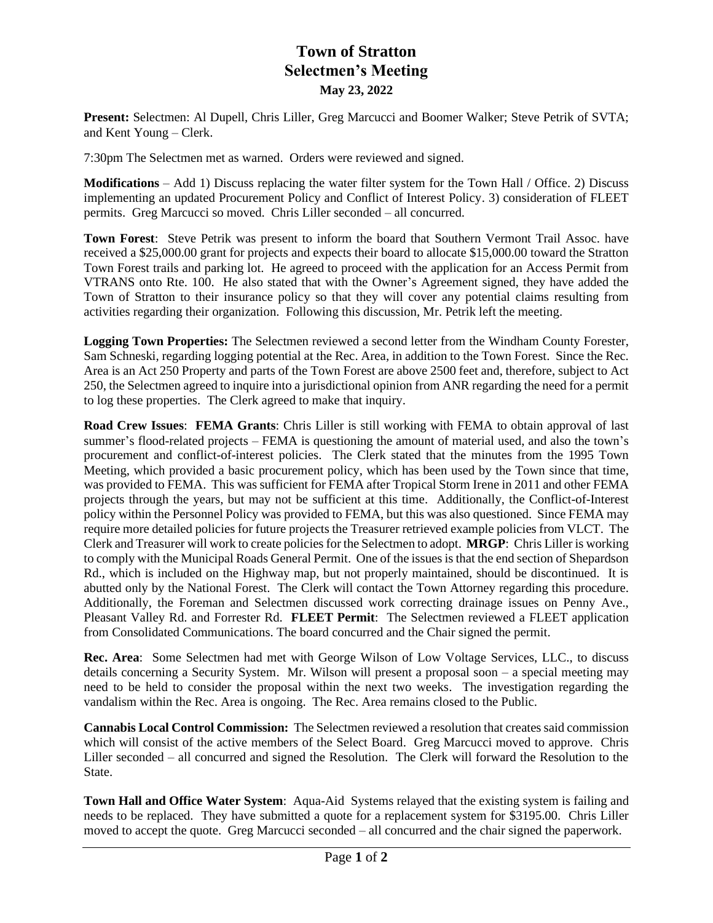## **Town of Stratton Selectmen's Meeting May 23, 2022**

**Present:** Selectmen: Al Dupell, Chris Liller, Greg Marcucci and Boomer Walker; Steve Petrik of SVTA; and Kent Young – Clerk.

7:30pm The Selectmen met as warned. Orders were reviewed and signed.

**Modifications** – Add 1) Discuss replacing the water filter system for the Town Hall / Office. 2) Discuss implementing an updated Procurement Policy and Conflict of Interest Policy. 3) consideration of FLEET permits. Greg Marcucci so moved. Chris Liller seconded – all concurred.

**Town Forest**: Steve Petrik was present to inform the board that Southern Vermont Trail Assoc. have received a \$25,000.00 grant for projects and expects their board to allocate \$15,000.00 toward the Stratton Town Forest trails and parking lot. He agreed to proceed with the application for an Access Permit from VTRANS onto Rte. 100. He also stated that with the Owner's Agreement signed, they have added the Town of Stratton to their insurance policy so that they will cover any potential claims resulting from activities regarding their organization. Following this discussion, Mr. Petrik left the meeting.

**Logging Town Properties:** The Selectmen reviewed a second letter from the Windham County Forester, Sam Schneski, regarding logging potential at the Rec. Area, in addition to the Town Forest. Since the Rec. Area is an Act 250 Property and parts of the Town Forest are above 2500 feet and, therefore, subject to Act 250, the Selectmen agreed to inquire into a jurisdictional opinion from ANR regarding the need for a permit to log these properties. The Clerk agreed to make that inquiry.

**Road Crew Issues**: **FEMA Grants**: Chris Liller is still working with FEMA to obtain approval of last summer's flood-related projects – FEMA is questioning the amount of material used, and also the town's procurement and conflict-of-interest policies. The Clerk stated that the minutes from the 1995 Town Meeting, which provided a basic procurement policy, which has been used by the Town since that time, was provided to FEMA. This was sufficient for FEMA after Tropical Storm Irene in 2011 and other FEMA projects through the years, but may not be sufficient at this time. Additionally, the Conflict-of-Interest policy within the Personnel Policy was provided to FEMA, but this was also questioned. Since FEMA may require more detailed policies for future projects the Treasurer retrieved example policies from VLCT. The Clerk and Treasurer will work to create policiesfor the Selectmen to adopt. **MRGP**: Chris Liller is working to comply with the Municipal Roads General Permit. One of the issues is that the end section of Shepardson Rd., which is included on the Highway map, but not properly maintained, should be discontinued. It is abutted only by the National Forest. The Clerk will contact the Town Attorney regarding this procedure. Additionally, the Foreman and Selectmen discussed work correcting drainage issues on Penny Ave., Pleasant Valley Rd. and Forrester Rd. **FLEET Permit**: The Selectmen reviewed a FLEET application from Consolidated Communications. The board concurred and the Chair signed the permit.

**Rec. Area**: Some Selectmen had met with George Wilson of Low Voltage Services, LLC., to discuss details concerning a Security System. Mr. Wilson will present a proposal soon – a special meeting may need to be held to consider the proposal within the next two weeks. The investigation regarding the vandalism within the Rec. Area is ongoing. The Rec. Area remains closed to the Public.

**Cannabis Local Control Commission:** The Selectmen reviewed a resolution that creates said commission which will consist of the active members of the Select Board. Greg Marcucci moved to approve. Chris Liller seconded – all concurred and signed the Resolution. The Clerk will forward the Resolution to the State.

**Town Hall and Office Water System**: Aqua-Aid Systems relayed that the existing system is failing and needs to be replaced. They have submitted a quote for a replacement system for \$3195.00. Chris Liller moved to accept the quote. Greg Marcucci seconded – all concurred and the chair signed the paperwork.